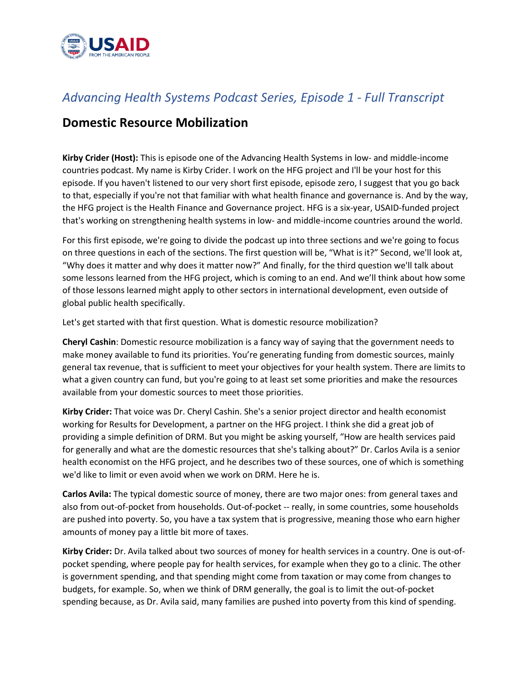

## *Advancing Health Systems Podcast Series, Episode 1 - Full Transcript*

## **Domestic Resource Mobilization**

**Kirby Crider (Host):** This is episode one of the Advancing Health Systems in low- and middle-income countries podcast. My name is Kirby Crider. I work on the HFG project and I'll be your host for this episode. If you haven't listened to our very short first episode, episode zero, I suggest that you go back to that, especially if you're not that familiar with what health finance and governance is. And by the way, the HFG project is the Health Finance and Governance project. HFG is a six-year, USAID-funded project that's working on strengthening health systems in low- and middle-income countries around the world.

For this first episode, we're going to divide the podcast up into three sections and we're going to focus on three questions in each of the sections. The first question will be, "What is it?" Second, we'll look at, "Why does it matter and why does it matter now?" And finally, for the third question we'll talk about some lessons learned from the HFG project, which is coming to an end. And we'll think about how some of those lessons learned might apply to other sectors in international development, even outside of global public health specifically.

Let's get started with that first question. What is domestic resource mobilization?

**Cheryl Cashin**: Domestic resource mobilization is a fancy way of saying that the government needs to make money available to fund its priorities. You're generating funding from domestic sources, mainly general tax revenue, that is sufficient to meet your objectives for your health system. There are limits to what a given country can fund, but you're going to at least set some priorities and make the resources available from your domestic sources to meet those priorities.

**Kirby Crider:** That voice was Dr. Cheryl Cashin. She's a senior project director and health economist working for Results for Development, a partner on the HFG project. I think she did a great job of providing a simple definition of DRM. But you might be asking yourself, "How are health services paid for generally and what are the domestic resources that she's talking about?" Dr. Carlos Avila is a senior health economist on the HFG project, and he describes two of these sources, one of which is something we'd like to limit or even avoid when we work on DRM. Here he is.

**Carlos Avila:** The typical domestic source of money, there are two major ones: from general taxes and also from out-of-pocket from households. Out-of-pocket -- really, in some countries, some households are pushed into poverty. So, you have a tax system that is progressive, meaning those who earn higher amounts of money pay a little bit more of taxes.

**Kirby Crider:** Dr. Avila talked about two sources of money for health services in a country. One is out-ofpocket spending, where people pay for health services, for example when they go to a clinic. The other is government spending, and that spending might come from taxation or may come from changes to budgets, for example. So, when we think of DRM generally, the goal is to limit the out-of-pocket spending because, as Dr. Avila said, many families are pushed into poverty from this kind of spending.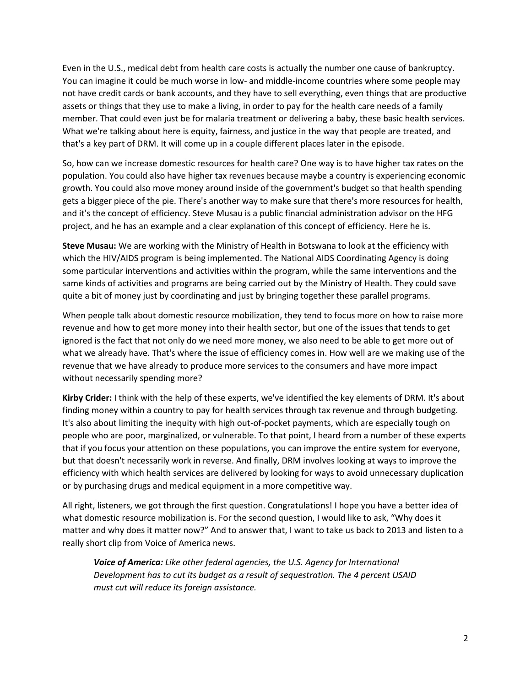Even in the U.S., medical debt from health care costs is actually the number one cause of bankruptcy. You can imagine it could be much worse in low- and middle-income countries where some people may not have credit cards or bank accounts, and they have to sell everything, even things that are productive assets or things that they use to make a living, in order to pay for the health care needs of a family member. That could even just be for malaria treatment or delivering a baby, these basic health services. What we're talking about here is equity, fairness, and justice in the way that people are treated, and that's a key part of DRM. It will come up in a couple different places later in the episode.

So, how can we increase domestic resources for health care? One way is to have higher tax rates on the population. You could also have higher tax revenues because maybe a country is experiencing economic growth. You could also move money around inside of the government's budget so that health spending gets a bigger piece of the pie. There's another way to make sure that there's more resources for health, and it's the concept of efficiency. Steve Musau is a public financial administration advisor on the HFG project, and he has an example and a clear explanation of this concept of efficiency. Here he is.

**Steve Musau:** We are working with the Ministry of Health in Botswana to look at the efficiency with which the HIV/AIDS program is being implemented. The National AIDS Coordinating Agency is doing some particular interventions and activities within the program, while the same interventions and the same kinds of activities and programs are being carried out by the Ministry of Health. They could save quite a bit of money just by coordinating and just by bringing together these parallel programs.

When people talk about domestic resource mobilization, they tend to focus more on how to raise more revenue and how to get more money into their health sector, but one of the issues that tends to get ignored is the fact that not only do we need more money, we also need to be able to get more out of what we already have. That's where the issue of efficiency comes in. How well are we making use of the revenue that we have already to produce more services to the consumers and have more impact without necessarily spending more?

**Kirby Crider:** I think with the help of these experts, we've identified the key elements of DRM. It's about finding money within a country to pay for health services through tax revenue and through budgeting. It's also about limiting the inequity with high out-of-pocket payments, which are especially tough on people who are poor, marginalized, or vulnerable. To that point, I heard from a number of these experts that if you focus your attention on these populations, you can improve the entire system for everyone, but that doesn't necessarily work in reverse. And finally, DRM involves looking at ways to improve the efficiency with which health services are delivered by looking for ways to avoid unnecessary duplication or by purchasing drugs and medical equipment in a more competitive way.

All right, listeners, we got through the first question. Congratulations! I hope you have a better idea of what domestic resource mobilization is. For the second question, I would like to ask, "Why does it matter and why does it matter now?" And to answer that, I want to take us back to 2013 and listen to a really short clip from Voice of America news.

*Voice of America: Like other federal agencies, the U.S. Agency for International Development has to cut its budget as a result of sequestration. The 4 percent USAID must cut will reduce its foreign assistance.*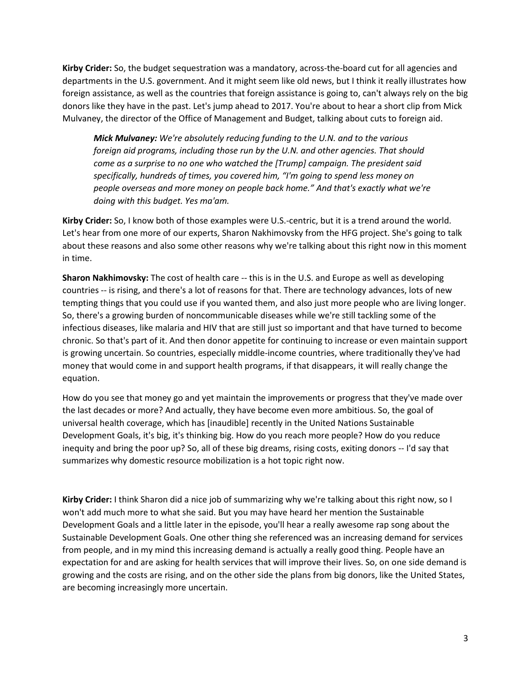**Kirby Crider:** So, the budget sequestration was a mandatory, across-the-board cut for all agencies and departments in the U.S. government. And it might seem like old news, but I think it really illustrates how foreign assistance, as well as the countries that foreign assistance is going to, can't always rely on the big donors like they have in the past. Let's jump ahead to 2017. You're about to hear a short clip from Mick Mulvaney, the director of the Office of Management and Budget, talking about cuts to foreign aid.

*Mick Mulvaney: We're absolutely reducing funding to the U.N. and to the various foreign aid programs, including those run by the U.N. and other agencies. That should come as a surprise to no one who watched the [Trump] campaign. The president said specifically, hundreds of times, you covered him, "I'm going to spend less money on people overseas and more money on people back home." And that's exactly what we're doing with this budget. Yes ma'am.* 

**Kirby Crider:** So, I know both of those examples were U.S.-centric, but it is a trend around the world. Let's hear from one more of our experts, Sharon Nakhimovsky from the HFG project. She's going to talk about these reasons and also some other reasons why we're talking about this right now in this moment in time.

**Sharon Nakhimovsky:** The cost of health care -- this is in the U.S. and Europe as well as developing countries -- is rising, and there's a lot of reasons for that. There are technology advances, lots of new tempting things that you could use if you wanted them, and also just more people who are living longer. So, there's a growing burden of noncommunicable diseases while we're still tackling some of the infectious diseases, like malaria and HIV that are still just so important and that have turned to become chronic. So that's part of it. And then donor appetite for continuing to increase or even maintain support is growing uncertain. So countries, especially middle-income countries, where traditionally they've had money that would come in and support health programs, if that disappears, it will really change the equation.

How do you see that money go and yet maintain the improvements or progress that they've made over the last decades or more? And actually, they have become even more ambitious. So, the goal of universal health coverage, which has [inaudible] recently in the United Nations Sustainable Development Goals, it's big, it's thinking big. How do you reach more people? How do you reduce inequity and bring the poor up? So, all of these big dreams, rising costs, exiting donors -- I'd say that summarizes why domestic resource mobilization is a hot topic right now.

**Kirby Crider:** I think Sharon did a nice job of summarizing why we're talking about this right now, so I won't add much more to what she said. But you may have heard her mention the Sustainable Development Goals and a little later in the episode, you'll hear a really awesome rap song about the Sustainable Development Goals. One other thing she referenced was an increasing demand for services from people, and in my mind this increasing demand is actually a really good thing. People have an expectation for and are asking for health services that will improve their lives. So, on one side demand is growing and the costs are rising, and on the other side the plans from big donors, like the United States, are becoming increasingly more uncertain.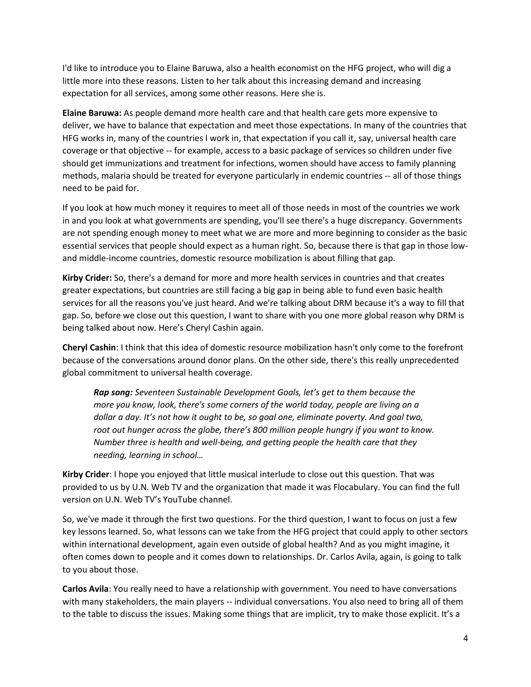I'd like to introduce you to Elaine Baruwa, also a health economist on the HFG project, who will dig a little more into these reasons. Listen to her talk about this increasing demand and increasing expectation for all services, among some other reasons. Here she is.

**Elaine Baruwa:** As people demand more health care and that health care gets more expensive to deliver, we have to balance that expectation and meet those expectations. In many of the countries that HFG works in, many of the countries I work in, that expectation if you call it, say, universal health care coverage or that objective -- for example, access to a basic package of services so children under five should get immunizations and treatment for infections, women should have access to family planning methods, malaria should be treated for everyone particularly in endemic countries -- all of those things need to be paid for.

If you look at how much money it requires to meet all of those needs in most of the countries we work in and you look at what governments are spending, you'll see there's a huge discrepancy. Governments are not spending enough money to meet what we are more and more beginning to consider as the basic essential services that people should expect as a human right. So, because there is that gap in those lowand middle-income countries, domestic resource mobilization is about filling that gap.

**Kirby Crider:** So, there's a demand for more and more health services in countries and that creates greater expectations, but countries are still facing a big gap in being able to fund even basic health services for all the reasons you've just heard. And we're talking about DRM because it's a way to fill that gap. So, before we close out this question, I want to share with you one more global reason why DRM is being talked about now. Here's Cheryl Cashin again.

**Cheryl Cashin**: I think that this idea of domestic resource mobilization hasn't only come to the forefront because of the conversations around donor plans. On the other side, there's this really unprecedented global commitment to universal health coverage.

*Rap song: Seventeen Sustainable Development Goals, let's get to them because the more you know, look, there's some corners of the world today, people are living on a dollar a day. It's not how it ought to be, so goal one, eliminate poverty. And goal two, root out hunger across the globe, there's 800 million people hungry if you want to know. Number three is health and well-being, and getting people the health care that they needing, learning in school…*

**Kirby Crider**: I hope you enjoyed that little musical interlude to close out this question. That was provided to us by U.N. Web TV and the organization that made it was Flocabulary. You can find the full version on U.N. Web TV's YouTube channel.

So, we've made it through the first two questions. For the third question, I want to focus on just a few key lessons learned. So, what lessons can we take from the HFG project that could apply to other sectors within international development, again even outside of global health? And as you might imagine, it often comes down to people and it comes down to relationships. Dr. Carlos Avila, again, is going to talk to you about those.

**Carlos Avila**: You really need to have a relationship with government. You need to have conversations with many stakeholders, the main players -- individual conversations. You also need to bring all of them to the table to discuss the issues. Making some things that are implicit, try to make those explicit. It's a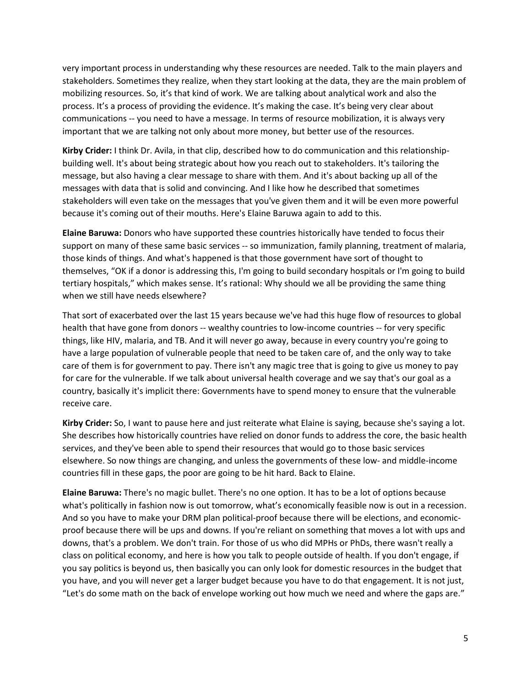very important process in understanding why these resources are needed. Talk to the main players and stakeholders. Sometimes they realize, when they start looking at the data, they are the main problem of mobilizing resources. So, it's that kind of work. We are talking about analytical work and also the process. It's a process of providing the evidence. It's making the case. It's being very clear about communications -- you need to have a message. In terms of resource mobilization, it is always very important that we are talking not only about more money, but better use of the resources.

**Kirby Crider:** I think Dr. Avila, in that clip, described how to do communication and this relationshipbuilding well. It's about being strategic about how you reach out to stakeholders. It's tailoring the message, but also having a clear message to share with them. And it's about backing up all of the messages with data that is solid and convincing. And I like how he described that sometimes stakeholders will even take on the messages that you've given them and it will be even more powerful because it's coming out of their mouths. Here's Elaine Baruwa again to add to this.

**Elaine Baruwa:** Donors who have supported these countries historically have tended to focus their support on many of these same basic services -- so immunization, family planning, treatment of malaria, those kinds of things. And what's happened is that those government have sort of thought to themselves, "OK if a donor is addressing this, I'm going to build secondary hospitals or I'm going to build tertiary hospitals," which makes sense. It's rational: Why should we all be providing the same thing when we still have needs elsewhere?

That sort of exacerbated over the last 15 years because we've had this huge flow of resources to global health that have gone from donors -- wealthy countries to low-income countries -- for very specific things, like HIV, malaria, and TB. And it will never go away, because in every country you're going to have a large population of vulnerable people that need to be taken care of, and the only way to take care of them is for government to pay. There isn't any magic tree that is going to give us money to pay for care for the vulnerable. If we talk about universal health coverage and we say that's our goal as a country, basically it's implicit there: Governments have to spend money to ensure that the vulnerable receive care.

**Kirby Crider:** So, I want to pause here and just reiterate what Elaine is saying, because she's saying a lot. She describes how historically countries have relied on donor funds to address the core, the basic health services, and they've been able to spend their resources that would go to those basic services elsewhere. So now things are changing, and unless the governments of these low- and middle-income countries fill in these gaps, the poor are going to be hit hard. Back to Elaine.

**Elaine Baruwa:** There's no magic bullet. There's no one option. It has to be a lot of options because what's politically in fashion now is out tomorrow, what's economically feasible now is out in a recession. And so you have to make your DRM plan political-proof because there will be elections, and economicproof because there will be ups and downs. If you're reliant on something that moves a lot with ups and downs, that's a problem. We don't train. For those of us who did MPHs or PhDs, there wasn't really a class on political economy, and here is how you talk to people outside of health. If you don't engage, if you say politics is beyond us, then basically you can only look for domestic resources in the budget that you have, and you will never get a larger budget because you have to do that engagement. It is not just, "Let's do some math on the back of envelope working out how much we need and where the gaps are."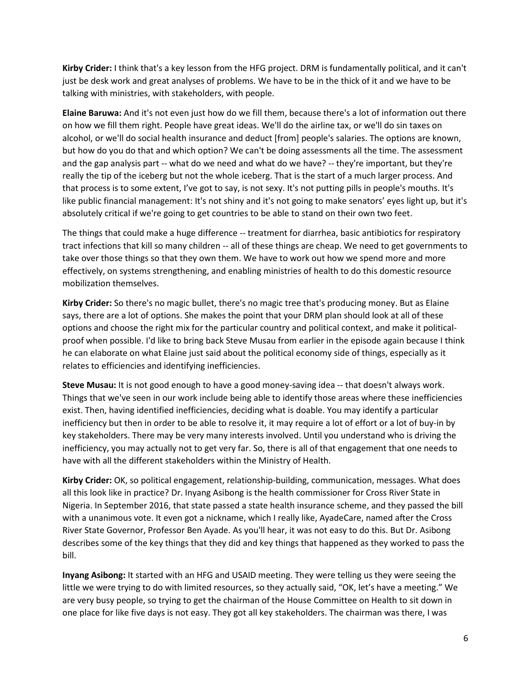**Kirby Crider:** I think that's a key lesson from the HFG project. DRM is fundamentally political, and it can't just be desk work and great analyses of problems. We have to be in the thick of it and we have to be talking with ministries, with stakeholders, with people.

**Elaine Baruwa:** And it's not even just how do we fill them, because there's a lot of information out there on how we fill them right. People have great ideas. We'll do the airline tax, or we'll do sin taxes on alcohol, or we'll do social health insurance and deduct [from] people's salaries. The options are known, but how do you do that and which option? We can't be doing assessments all the time. The assessment and the gap analysis part -- what do we need and what do we have? -- they're important, but they're really the tip of the iceberg but not the whole iceberg. That is the start of a much larger process. And that process is to some extent, I've got to say, is not sexy. It's not putting pills in people's mouths. It's like public financial management: It's not shiny and it's not going to make senators' eyes light up, but it's absolutely critical if we're going to get countries to be able to stand on their own two feet.

The things that could make a huge difference -- treatment for diarrhea, basic antibiotics for respiratory tract infections that kill so many children -- all of these things are cheap. We need to get governments to take over those things so that they own them. We have to work out how we spend more and more effectively, on systems strengthening, and enabling ministries of health to do this domestic resource mobilization themselves.

**Kirby Crider:** So there's no magic bullet, there's no magic tree that's producing money. But as Elaine says, there are a lot of options. She makes the point that your DRM plan should look at all of these options and choose the right mix for the particular country and political context, and make it politicalproof when possible. I'd like to bring back Steve Musau from earlier in the episode again because I think he can elaborate on what Elaine just said about the political economy side of things, especially as it relates to efficiencies and identifying inefficiencies.

**Steve Musau:** It is not good enough to have a good money-saving idea -- that doesn't always work. Things that we've seen in our work include being able to identify those areas where these inefficiencies exist. Then, having identified inefficiencies, deciding what is doable. You may identify a particular inefficiency but then in order to be able to resolve it, it may require a lot of effort or a lot of buy-in by key stakeholders. There may be very many interests involved. Until you understand who is driving the inefficiency, you may actually not to get very far. So, there is all of that engagement that one needs to have with all the different stakeholders within the Ministry of Health.

**Kirby Crider:** OK, so political engagement, relationship-building, communication, messages. What does all this look like in practice? Dr. Inyang Asibong is the health commissioner for Cross River State in Nigeria. In September 2016, that state passed a state health insurance scheme, and they passed the bill with a unanimous vote. It even got a nickname, which I really like, AyadeCare, named after the Cross River State Governor, Professor Ben Ayade. As you'll hear, it was not easy to do this. But Dr. Asibong describes some of the key things that they did and key things that happened as they worked to pass the bill.

**Inyang Asibong:** It started with an HFG and USAID meeting. They were telling us they were seeing the little we were trying to do with limited resources, so they actually said, "OK, let's have a meeting." We are very busy people, so trying to get the chairman of the House Committee on Health to sit down in one place for like five days is not easy. They got all key stakeholders. The chairman was there, I was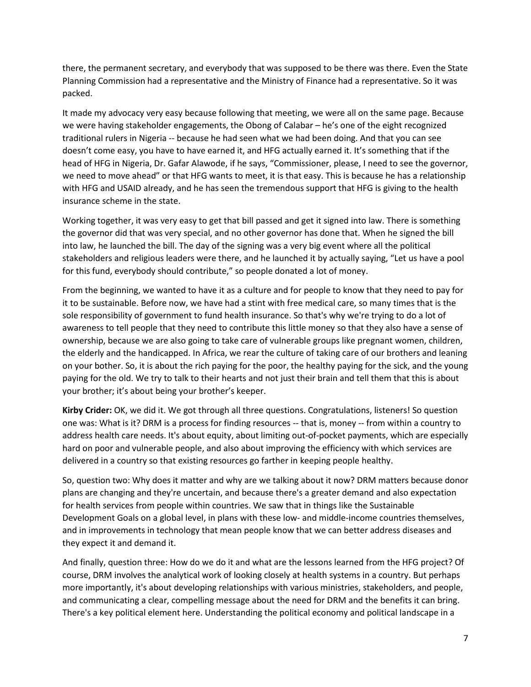there, the permanent secretary, and everybody that was supposed to be there was there. Even the State Planning Commission had a representative and the Ministry of Finance had a representative. So it was packed.

It made my advocacy very easy because following that meeting, we were all on the same page. Because we were having stakeholder engagements, the Obong of Calabar – he's one of the eight recognized traditional rulers in Nigeria -- because he had seen what we had been doing. And that you can see doesn't come easy, you have to have earned it, and HFG actually earned it. It's something that if the head of HFG in Nigeria, Dr. Gafar Alawode, if he says, "Commissioner, please, I need to see the governor, we need to move ahead" or that HFG wants to meet, it is that easy. This is because he has a relationship with HFG and USAID already, and he has seen the tremendous support that HFG is giving to the health insurance scheme in the state.

Working together, it was very easy to get that bill passed and get it signed into law. There is something the governor did that was very special, and no other governor has done that. When he signed the bill into law, he launched the bill. The day of the signing was a very big event where all the political stakeholders and religious leaders were there, and he launched it by actually saying, "Let us have a pool for this fund, everybody should contribute," so people donated a lot of money.

From the beginning, we wanted to have it as a culture and for people to know that they need to pay for it to be sustainable. Before now, we have had a stint with free medical care, so many times that is the sole responsibility of government to fund health insurance. So that's why we're trying to do a lot of awareness to tell people that they need to contribute this little money so that they also have a sense of ownership, because we are also going to take care of vulnerable groups like pregnant women, children, the elderly and the handicapped. In Africa, we rear the culture of taking care of our brothers and leaning on your bother. So, it is about the rich paying for the poor, the healthy paying for the sick, and the young paying for the old. We try to talk to their hearts and not just their brain and tell them that this is about your brother; it's about being your brother's keeper.

**Kirby Crider:** OK, we did it. We got through all three questions. Congratulations, listeners! So question one was: What is it? DRM is a process for finding resources -- that is, money -- from within a country to address health care needs. It's about equity, about limiting out-of-pocket payments, which are especially hard on poor and vulnerable people, and also about improving the efficiency with which services are delivered in a country so that existing resources go farther in keeping people healthy.

So, question two: Why does it matter and why are we talking about it now? DRM matters because donor plans are changing and they're uncertain, and because there's a greater demand and also expectation for health services from people within countries. We saw that in things like the Sustainable Development Goals on a global level, in plans with these low- and middle-income countries themselves, and in improvements in technology that mean people know that we can better address diseases and they expect it and demand it.

And finally, question three: How do we do it and what are the lessons learned from the HFG project? Of course, DRM involves the analytical work of looking closely at health systems in a country. But perhaps more importantly, it's about developing relationships with various ministries, stakeholders, and people, and communicating a clear, compelling message about the need for DRM and the benefits it can bring. There's a key political element here. Understanding the political economy and political landscape in a